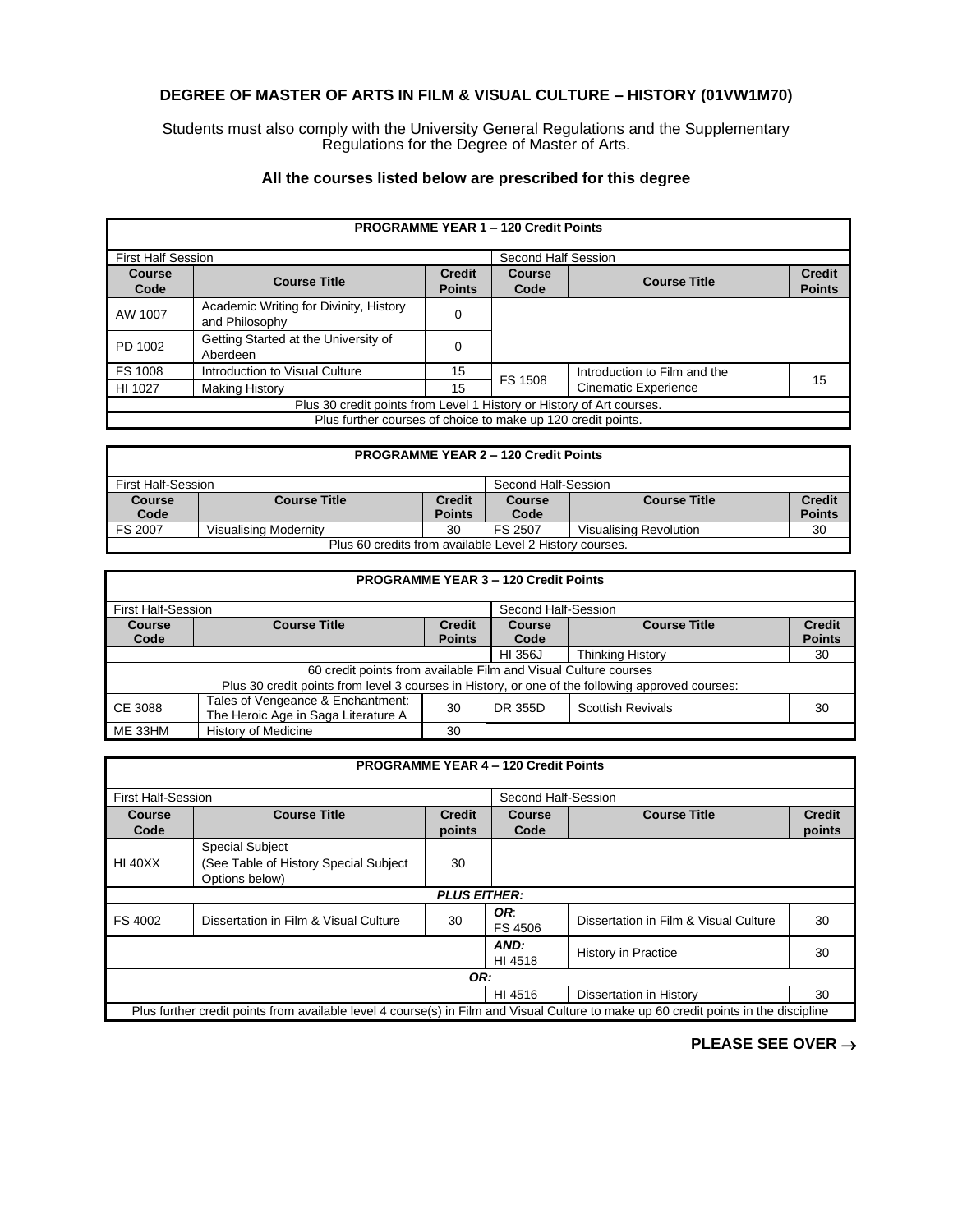## **DEGREE OF MASTER OF ARTS IN FILM & VISUAL CULTURE – HISTORY (01VW1M70)**

Students must also comply with the University General Regulations and the Supplementary Regulations for the Degree of Master of Arts.

## **All the courses listed below are prescribed for this degree**

| <b>PROGRAMME YEAR 1 - 120 Credit Points</b>                           |                                                          |                                |                     |                              |                                |  |
|-----------------------------------------------------------------------|----------------------------------------------------------|--------------------------------|---------------------|------------------------------|--------------------------------|--|
| <b>First Half Session</b>                                             |                                                          |                                | Second Half Session |                              |                                |  |
| <b>Course</b><br>Code                                                 | <b>Course Title</b>                                      | <b>Credit</b><br><b>Points</b> | Course<br>Code      | <b>Course Title</b>          | <b>Credit</b><br><b>Points</b> |  |
| AW 1007                                                               | Academic Writing for Divinity, History<br>and Philosophy | 0                              |                     |                              |                                |  |
| PD 1002                                                               | Getting Started at the University of<br>Aberdeen         | 0                              |                     |                              |                                |  |
| FS 1008                                                               | Introduction to Visual Culture                           | 15                             | <b>FS 1508</b>      | Introduction to Film and the | 15                             |  |
| HI 1027                                                               | <b>Making History</b>                                    | 15                             |                     | <b>Cinematic Experience</b>  |                                |  |
| Plus 30 credit points from Level 1 History or History of Art courses. |                                                          |                                |                     |                              |                                |  |
| Plus further courses of choice to make up 120 credit points.          |                                                          |                                |                     |                              |                                |  |

# **PROGRAMME YEAR 2 – 120 Credit Points**

| First Half-Session                                      |                       | Second Half-Session     |                       |                        |                                |
|---------------------------------------------------------|-----------------------|-------------------------|-----------------------|------------------------|--------------------------------|
| <b>Course</b><br>Code                                   | <b>Course Title</b>   | Credit<br><b>Points</b> | <b>Course</b><br>Code | <b>Course Title</b>    | <b>Credit</b><br><b>Points</b> |
| FS 2007                                                 | Visualising Modernitv | 30                      | FS 2507               | Visualising Revolution | 30                             |
| Plus 60 credits from available Level 2 History courses. |                       |                         |                       |                        |                                |

### **PROGRAMME YEAR 3 – 120 Credit Points**

| First Half-Session                                                                               |                                                                          |                                |                | Second Half-Session      |                                |  |
|--------------------------------------------------------------------------------------------------|--------------------------------------------------------------------------|--------------------------------|----------------|--------------------------|--------------------------------|--|
| <b>Course</b><br>Code                                                                            | <b>Course Title</b>                                                      | <b>Credit</b><br><b>Points</b> | Course<br>Code | <b>Course Title</b>      | <b>Credit</b><br><b>Points</b> |  |
|                                                                                                  |                                                                          |                                | HI 356J        | <b>Thinking History</b>  | 30                             |  |
| 60 credit points from available Film and Visual Culture courses                                  |                                                                          |                                |                |                          |                                |  |
| Plus 30 credit points from level 3 courses in History, or one of the following approved courses: |                                                                          |                                |                |                          |                                |  |
| CE 3088                                                                                          | Tales of Vengeance & Enchantment:<br>The Heroic Age in Saga Literature A | 30                             | DR 355D        | <b>Scottish Revivals</b> | 30                             |  |
| ME 33HM                                                                                          | History of Medicine                                                      | 30                             |                |                          |                                |  |

#### **PROGRAMME YEAR 4 – 120 Credit Points** First Half-Session Second Half-Session **Course Code Course Title Credit points Course Code Course Title Credit points** HI 40XX Special Subject (See Table of History Special Subject Options below) 30 *PLUS EITHER:* FS 4002 Dissertation in Film & Visual Culture 30 **OR:**<br>FS 4506 Dissertation in Film & Visual Culture 30 *AND:* AND:<br>HI 4518 History in Practice 30 *OR:* HI 4516 Dissertation in History 130 Plus further credit points from available level 4 course(s) in Film and Visual Culture to make up 60 credit points in the discipline

**PLEASE SEE OVER** →